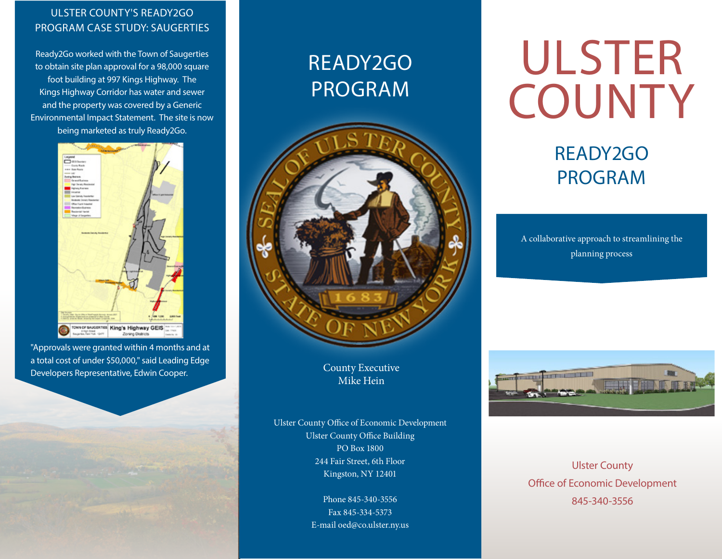#### ULSTER COUNTY'S READY2GO PROGRAM CASE STUDY: SAUGERTIES

Ready2Go worked with the Town of Saugerties to obtain site plan approval for a 98,000 square foot building at 997 Kings Highway. The Kings Highway Corridor has water and sewer and the property was covered by a Generic Environmental Impact Statement. The site is now being marketed as truly Ready2Go.



"Approvals were granted within 4 months and at a total cost of under \$50,000," said Leading Edge Developers Representative, Edwin Cooper.

## READY2GO PROGRAM



County Executive Mike Hein

Ulster County Office of Economic Development Ulster County Office Building PO Box 1800244 Fair Street, 6th Floor Kingston, NY 12401

> Phone 845-340-3556 Fax 845-334-5373E-mail oed@co.ulster.ny.us

# ULSTER **COUNTY**

### READY2GO PROGRAM

A collaborative approach to streamlining the planning process



Ulster County Office of Economic Development 845-340-3556